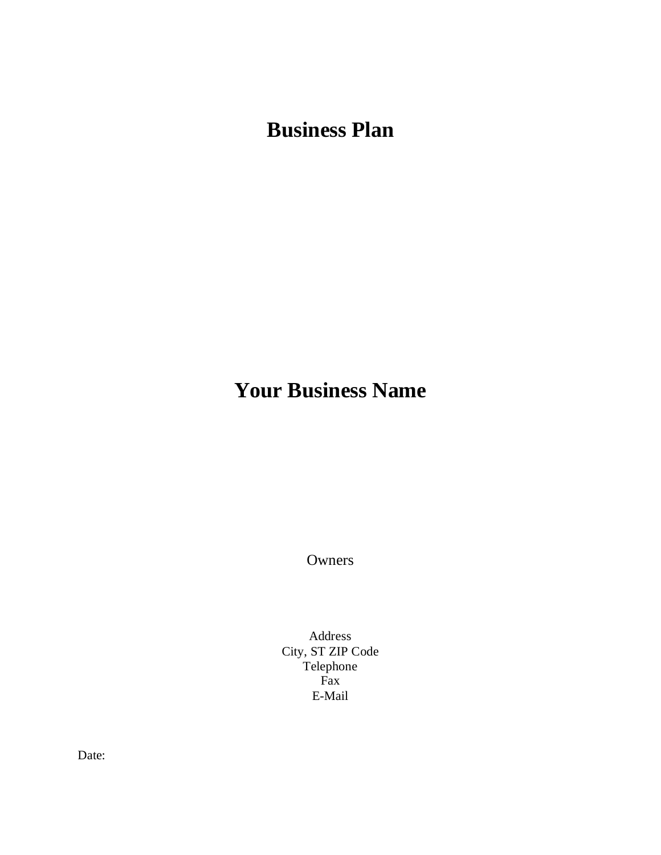**Business Plan**

# **Your Business Name**

**Owners** 

Address City, ST ZIP Code Telephone Fax E-Mail

Date: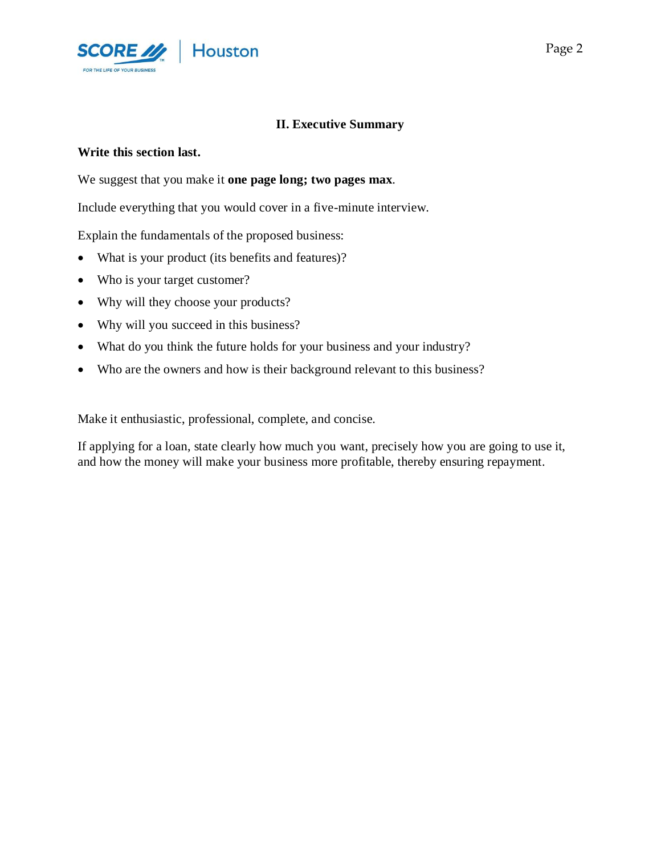

## **II. Executive Summary**

#### **Write this section last.**

We suggest that you make it **one page long; two pages max**.

Include everything that you would cover in a five-minute interview.

Explain the fundamentals of the proposed business:

- What is your product (its benefits and features)?
- Who is your target customer?
- Why will they choose your products?
- Why will you succeed in this business?
- What do you think the future holds for your business and your industry?
- Who are the owners and how is their background relevant to this business?

Make it enthusiastic, professional, complete, and concise.

If applying for a loan, state clearly how much you want, precisely how you are going to use it, and how the money will make your business more profitable, thereby ensuring repayment.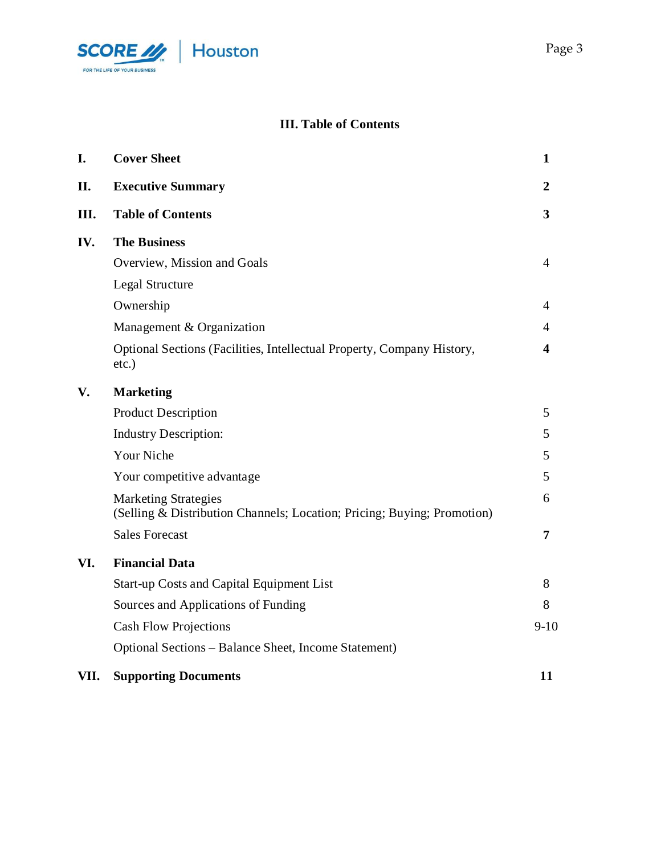

## **III. Table of Contents**

| I.   | <b>Cover Sheet</b>                                                                                     | 1                       |
|------|--------------------------------------------------------------------------------------------------------|-------------------------|
| П.   | <b>Executive Summary</b>                                                                               | $\boldsymbol{2}$        |
| III. | <b>Table of Contents</b>                                                                               | $\overline{\mathbf{3}}$ |
| IV.  | <b>The Business</b>                                                                                    |                         |
|      | Overview, Mission and Goals                                                                            | $\overline{4}$          |
|      | Legal Structure                                                                                        |                         |
|      | Ownership                                                                                              | 4                       |
|      | Management & Organization                                                                              | 4                       |
|      | Optional Sections (Facilities, Intellectual Property, Company History,<br>$etc.$ )                     | 4                       |
| V.   | <b>Marketing</b>                                                                                       |                         |
|      | <b>Product Description</b>                                                                             | 5                       |
|      | <b>Industry Description:</b>                                                                           | 5                       |
|      | Your Niche                                                                                             | 5                       |
|      | Your competitive advantage                                                                             | 5                       |
|      | <b>Marketing Strategies</b><br>(Selling & Distribution Channels; Location; Pricing; Buying; Promotion) | 6                       |
|      | <b>Sales Forecast</b>                                                                                  | $\overline{7}$          |
| VI.  | <b>Financial Data</b>                                                                                  |                         |
|      | Start-up Costs and Capital Equipment List                                                              | 8                       |
|      | Sources and Applications of Funding                                                                    | 8                       |
|      | <b>Cash Flow Projections</b>                                                                           | $9 - 10$                |
|      | Optional Sections - Balance Sheet, Income Statement)                                                   |                         |
| VII. | <b>Supporting Documents</b>                                                                            | 11                      |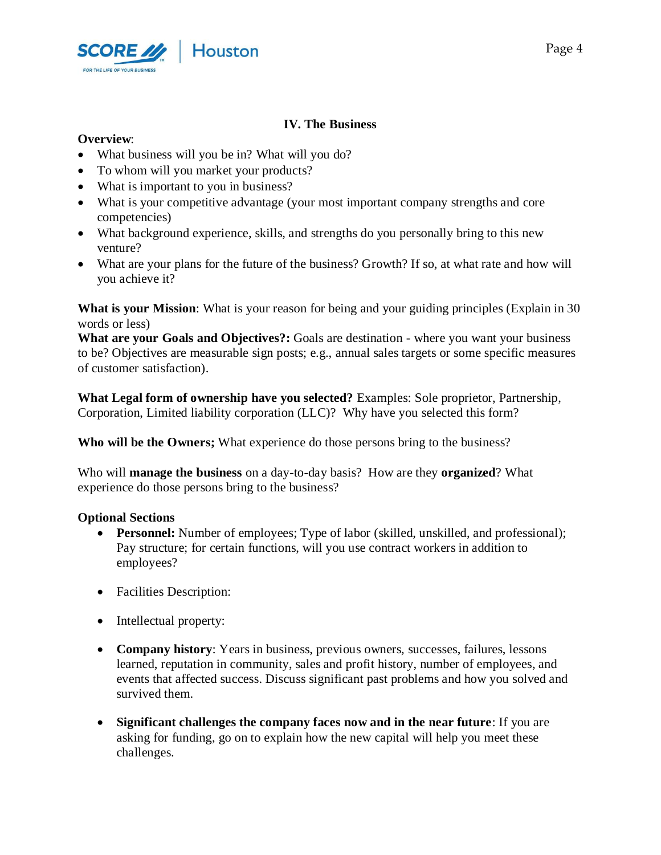

## **IV. The Business**

## **Overview**:

- What business will you be in? What will you do?
- To whom will you market your products?
- What is important to you in business?
- What is your competitive advantage (your most important company strengths and core competencies)
- What background experience, skills, and strengths do you personally bring to this new venture?
- What are your plans for the future of the business? Growth? If so, at what rate and how will you achieve it?

**What is your Mission**: What is your reason for being and your guiding principles (Explain in 30 words or less)

**What are your Goals and Objectives?:** Goals are destination - where you want your business to be? Objectives are measurable sign posts; e.g., annual sales targets or some specific measures of customer satisfaction).

**What Legal form of ownership have you selected?** Examples: Sole proprietor, Partnership, Corporation, Limited liability corporation (LLC)? Why have you selected this form?

**Who will be the Owners;** What experience do those persons bring to the business?

Who will **manage the business** on a day-to-day basis? How are they **organized**? What experience do those persons bring to the business?

## **Optional Sections**

- **Personnel:** Number of employees; Type of labor (skilled, unskilled, and professional); Pay structure; for certain functions, will you use contract workers in addition to employees?
- Facilities Description:
- Intellectual property:
- **Company history**: Years in business, previous owners, successes, failures, lessons learned, reputation in community, sales and profit history, number of employees, and events that affected success. Discuss significant past problems and how you solved and survived them.
- **Significant challenges the company faces now and in the near future**: If you are asking for funding, go on to explain how the new capital will help you meet these challenges.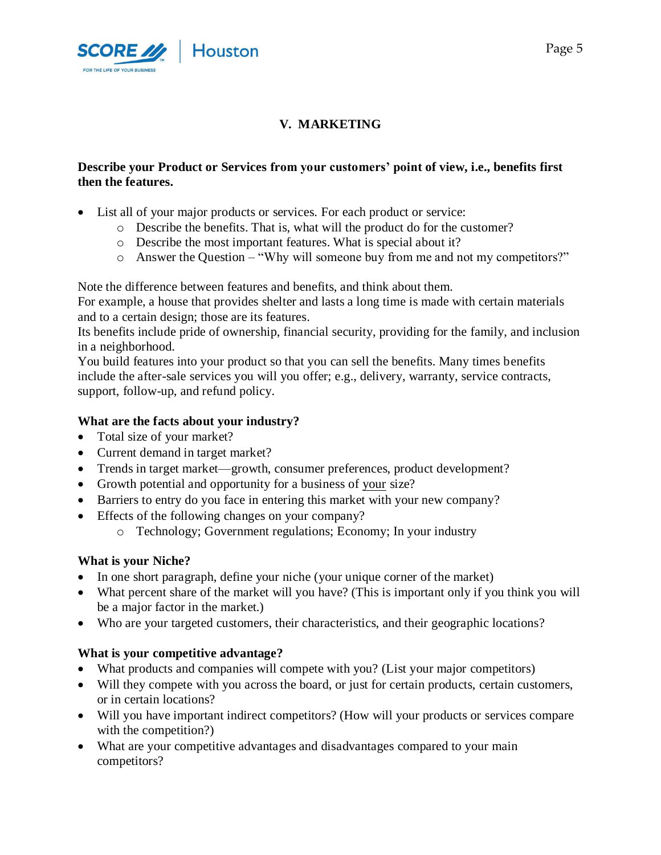

# **V. MARKETING**

## **Describe your Product or Services from your customers' point of view, i.e., benefits first then the features.**

- List all of your major products or services. For each product or service:
	- o Describe the benefits. That is, what will the product do for the customer?
	- o Describe the most important features. What is special about it?
	- o Answer the Question "Why will someone buy from me and not my competitors?"

Note the difference between features and benefits, and think about them.

For example, a house that provides shelter and lasts a long time is made with certain materials and to a certain design; those are its features.

Its benefits include pride of ownership, financial security, providing for the family, and inclusion in a neighborhood.

You build features into your product so that you can sell the benefits. Many times benefits include the after-sale services you will you offer; e.g., delivery, warranty, service contracts, support, follow-up, and refund policy.

## **What are the facts about your industry?**

- Total size of your market?
- Current demand in target market?
- Trends in target market—growth, consumer preferences, product development?
- Growth potential and opportunity for a business of your size?
- Barriers to entry do you face in entering this market with your new company?
- Effects of the following changes on your company?
	- o Technology; Government regulations; Economy; In your industry

## **What is your Niche?**

- In one short paragraph, define your niche (your unique corner of the market)
- What percent share of the market will you have? (This is important only if you think you will be a major factor in the market.)
- Who are your targeted customers, their characteristics, and their geographic locations?

#### **What is your competitive advantage?**

- What products and companies will compete with you? (List your major competitors)
- Will they compete with you across the board, or just for certain products, certain customers, or in certain locations?
- Will you have important indirect competitors? (How will your products or services compare with the competition?)
- What are your competitive advantages and disadvantages compared to your main competitors?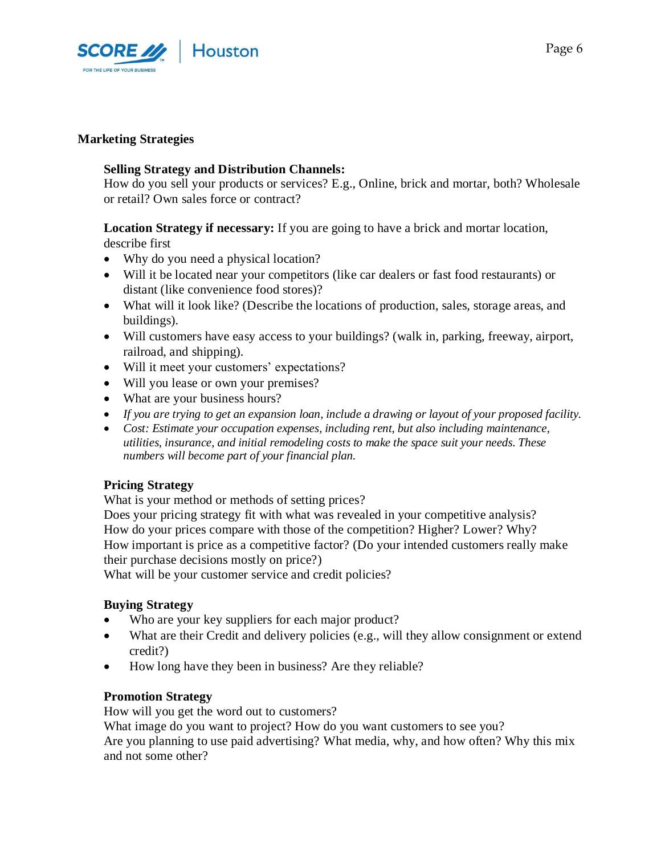

#### **Marketing Strategies**

#### **Selling Strategy and Distribution Channels:**

How do you sell your products or services? E.g., Online, brick and mortar, both? Wholesale or retail? Own sales force or contract?

**Location Strategy if necessary:** If you are going to have a brick and mortar location, describe first

- Why do you need a physical location?
- Will it be located near your competitors (like car dealers or fast food restaurants) or distant (like convenience food stores)?
- What will it look like? (Describe the locations of production, sales, storage areas, and buildings).
- Will customers have easy access to your buildings? (walk in, parking, freeway, airport, railroad, and shipping).
- Will it meet your customers' expectations?
- Will you lease or own your premises?
- What are your business hours?
- *If you are trying to get an expansion loan, include a drawing or layout of your proposed facility.*
- *Cost: Estimate your occupation expenses, including rent, but also including maintenance, utilities, insurance, and initial remodeling costs to make the space suit your needs. These numbers will become part of your financial plan.*

#### **Pricing Strategy**

What is your method or methods of setting prices?

Does your pricing strategy fit with what was revealed in your competitive analysis? How do your prices compare with those of the competition? Higher? Lower? Why? How important is price as a competitive factor? (Do your intended customers really make their purchase decisions mostly on price?)

What will be your customer service and credit policies?

#### **Buying Strategy**

- Who are your key suppliers for each major product?
- What are their Credit and delivery policies (e.g., will they allow consignment or extend credit?)
- How long have they been in business? Are they reliable?

#### **Promotion Strategy**

How will you get the word out to customers?

What image do you want to project? How do you want customers to see you?

Are you planning to use paid advertising? What media, why, and how often? Why this mix and not some other?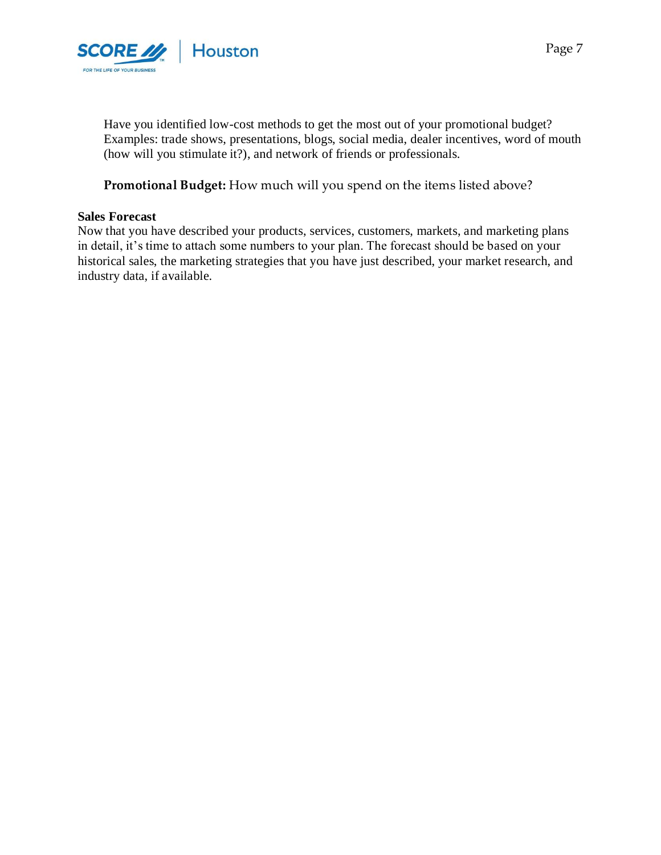

Have you identified low-cost methods to get the most out of your promotional budget? Examples: trade shows, presentations, blogs, social media, dealer incentives, word of mouth (how will you stimulate it?), and network of friends or professionals.

**Promotional Budget:** How much will you spend on the items listed above?

#### **Sales Forecast**

Now that you have described your products, services, customers, markets, and marketing plans in detail, it's time to attach some numbers to your plan. The forecast should be based on your historical sales, the marketing strategies that you have just described, your market research, and industry data, if available.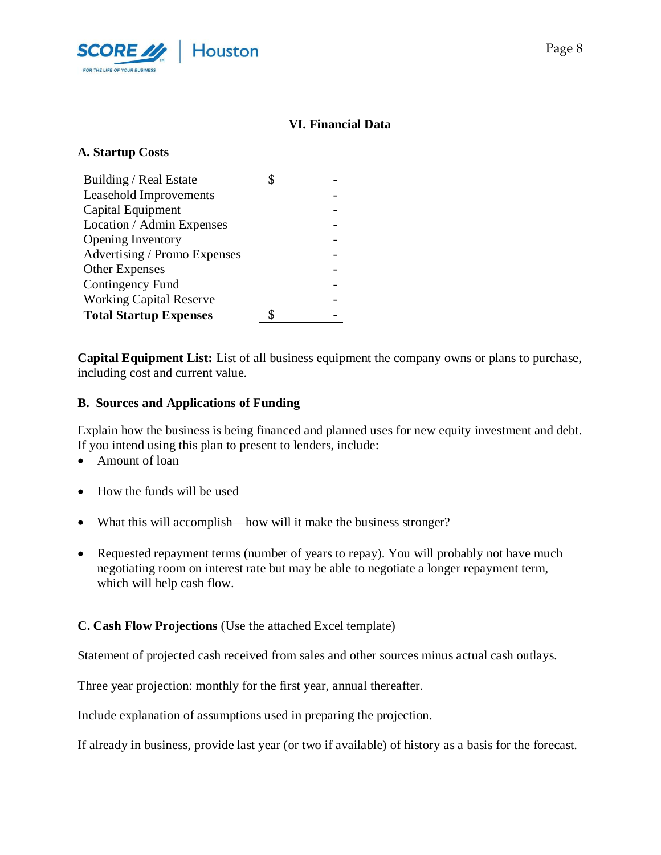

## **VI. Financial Data**

## **A. Startup Costs**

| Building / Real Estate         |  |
|--------------------------------|--|
| <b>Leasehold Improvements</b>  |  |
| Capital Equipment              |  |
| Location / Admin Expenses      |  |
| <b>Opening Inventory</b>       |  |
| Advertising / Promo Expenses   |  |
| Other Expenses                 |  |
| Contingency Fund               |  |
| <b>Working Capital Reserve</b> |  |
| <b>Total Startup Expenses</b>  |  |

**Capital Equipment List:** List of all business equipment the company owns or plans to purchase, including cost and current value.

#### **B. Sources and Applications of Funding**

Explain how the business is being financed and planned uses for new equity investment and debt. If you intend using this plan to present to lenders, include:

- Amount of loan
- How the funds will be used
- What this will accomplish—how will it make the business stronger?
- Requested repayment terms (number of years to repay). You will probably not have much negotiating room on interest rate but may be able to negotiate a longer repayment term, which will help cash flow.

#### **C. Cash Flow Projections** (Use the attached Excel template)

Statement of projected cash received from sales and other sources minus actual cash outlays.

Three year projection: monthly for the first year, annual thereafter.

Include explanation of assumptions used in preparing the projection.

If already in business, provide last year (or two if available) of history as a basis for the forecast.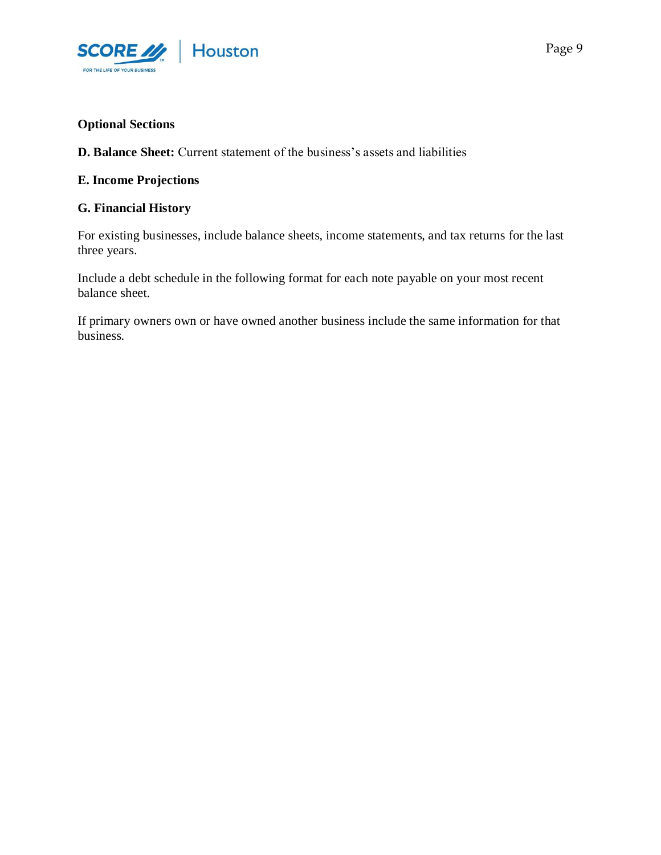

## **Optional Sections**

**D. Balance Sheet:** Current statement of the business's assets and liabilities

#### **E. Income Projections**

#### **G. Financial History**

For existing businesses, include balance sheets, income statements, and tax returns for the last three years.

Include a debt schedule in the following format for each note payable on your most recent balance sheet.

If primary owners own or have owned another business include the same information for that business.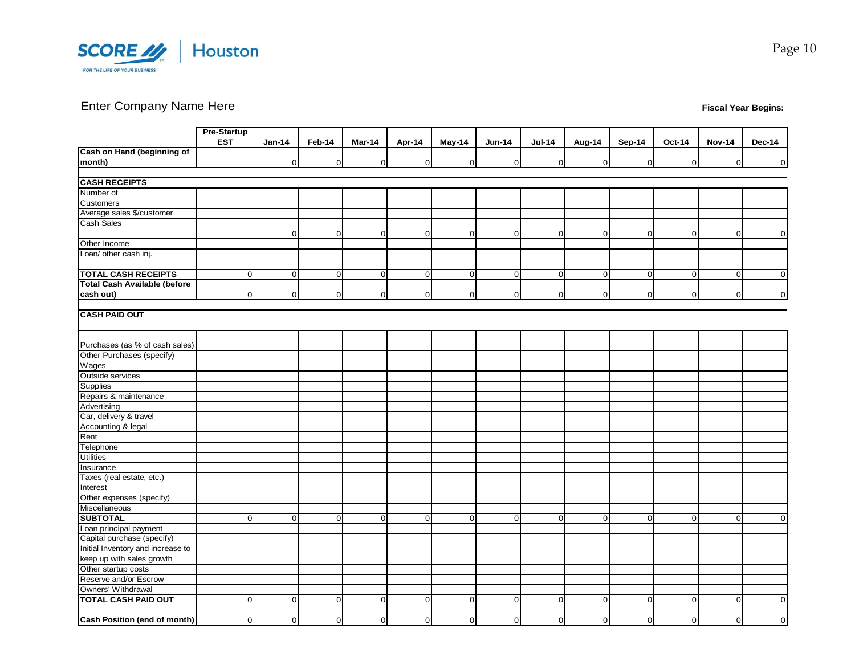

# Enter Company Name Here **Fiscal Year Begins:**

|                                     | <b>Pre-Startup</b> |                |                |                |                |             |                |                |                |                |                |               |                |
|-------------------------------------|--------------------|----------------|----------------|----------------|----------------|-------------|----------------|----------------|----------------|----------------|----------------|---------------|----------------|
|                                     | <b>EST</b>         | $Jan-14$       | Feb-14         | Mar-14         | Apr-14         | May-14      | <b>Jun-14</b>  | <b>Jul-14</b>  | Aug-14         | Sep-14         | Oct-14         | <b>Nov-14</b> | <b>Dec-14</b>  |
| Cash on Hand (beginning of          |                    |                |                |                |                |             |                |                |                |                |                |               |                |
| month)                              |                    | $\overline{O}$ | $\mathbf 0$    | $\overline{0}$ | $\overline{0}$ | $\mathbf 0$ | $\overline{0}$ | $\overline{0}$ | $\overline{0}$ | 0              | $\overline{0}$ | $\mathbf 0$   | $\overline{O}$ |
|                                     |                    |                |                |                |                |             |                |                |                |                |                |               |                |
| <b>CASH RECEIPTS</b>                |                    |                |                |                |                |             |                |                |                |                |                |               |                |
| Number of                           |                    |                |                |                |                |             |                |                |                |                |                |               |                |
| Customers                           |                    |                |                |                |                |             |                |                |                |                |                |               |                |
| Average sales \$/customer           |                    |                |                |                |                |             |                |                |                |                |                |               |                |
| <b>Cash Sales</b>                   |                    |                |                |                |                |             |                |                |                |                |                |               |                |
|                                     |                    | $\Omega$       | $\mathbf 0$    | 0              | $\overline{0}$ | $\mathbf 0$ | $\overline{0}$ | $\overline{0}$ | $\mathbf 0$    | 0              | $\overline{0}$ | 0             | $\Omega$       |
| Other Income                        |                    |                |                |                |                |             |                |                |                |                |                |               |                |
| Loan/ other cash inj.               |                    |                |                |                |                |             |                |                |                |                |                |               |                |
|                                     |                    |                |                |                |                |             |                |                |                |                |                |               |                |
| <b>TOTAL CASH RECEIPTS</b>          | $\Omega$           | $\mathbf 0$    | $\overline{0}$ | $\overline{0}$ | $\overline{0}$ | $\mathbf 0$ | $\mathbf{0}$   | $\overline{0}$ | $\overline{0}$ | $\overline{0}$ | $\overline{0}$ | $\mathsf 0$   | $\overline{0}$ |
| <b>Total Cash Available (before</b> |                    |                |                |                |                |             |                |                |                |                |                |               |                |
| cash out)                           | $\Omega$           | 0              | $\mathbf 0$    | $\overline{0}$ | $\overline{0}$ | $\mathbf 0$ | $\overline{0}$ | $\mathbf{0}$   | $\overline{0}$ | $\Omega$       | $\overline{0}$ | $\mathbf 0$   | $\Omega$       |
|                                     |                    |                |                |                |                |             |                |                |                |                |                |               |                |
| <b>CASH PAID OUT</b>                |                    |                |                |                |                |             |                |                |                |                |                |               |                |
|                                     |                    |                |                |                |                |             |                |                |                |                |                |               |                |
|                                     |                    |                |                |                |                |             |                |                |                |                |                |               |                |
| Purchases (as % of cash sales)      |                    |                |                |                |                |             |                |                |                |                |                |               |                |
| Other Purchases (specify)           |                    |                |                |                |                |             |                |                |                |                |                |               |                |
| Wages                               |                    |                |                |                |                |             |                |                |                |                |                |               |                |
| Outside services                    |                    |                |                |                |                |             |                |                |                |                |                |               |                |
| Supplies                            |                    |                |                |                |                |             |                |                |                |                |                |               |                |
| Repairs & maintenance               |                    |                |                |                |                |             |                |                |                |                |                |               |                |
| Advertising                         |                    |                |                |                |                |             |                |                |                |                |                |               |                |
| Car, delivery & travel              |                    |                |                |                |                |             |                |                |                |                |                |               |                |
| Accounting & legal                  |                    |                |                |                |                |             |                |                |                |                |                |               |                |
| Rent                                |                    |                |                |                |                |             |                |                |                |                |                |               |                |
| Telephone                           |                    |                |                |                |                |             |                |                |                |                |                |               |                |
| <b>Utilities</b>                    |                    |                |                |                |                |             |                |                |                |                |                |               |                |
| Insurance                           |                    |                |                |                |                |             |                |                |                |                |                |               |                |
| Taxes (real estate, etc.)           |                    |                |                |                |                |             |                |                |                |                |                |               |                |
| Interest                            |                    |                |                |                |                |             |                |                |                |                |                |               |                |
| Other expenses (specify)            |                    |                |                |                |                |             |                |                |                |                |                |               |                |
| Miscellaneous                       |                    |                |                |                |                |             |                |                |                |                |                |               |                |
| <b>SUBTOTAL</b>                     | $\Omega$           | $\Omega$       | $\Omega$       | $\Omega$       | $\overline{0}$ | $\Omega$    | $\Omega$       | $\Omega$       | $\Omega$       | $\Omega$       | $\Omega$       | $\Omega$      |                |
| Loan principal payment              |                    |                |                |                |                |             |                |                |                |                |                |               |                |
| Capital purchase (specify)          |                    |                |                |                |                |             |                |                |                |                |                |               |                |
| Initial Inventory and increase to   |                    |                |                |                |                |             |                |                |                |                |                |               |                |
| keep up with sales growth           |                    |                |                |                |                |             |                |                |                |                |                |               |                |
| Other startup costs                 |                    |                |                |                |                |             |                |                |                |                |                |               |                |
| Reserve and/or Escrow               |                    |                |                |                |                |             |                |                |                |                |                |               |                |
| Owners' Withdrawal                  |                    |                |                |                |                |             |                |                |                |                |                |               |                |
| <b>TOTAL CASH PAID OUT</b>          | $\overline{0}$     | $\overline{0}$ | $\mathbf 0$    | 0              | $\overline{0}$ | $\mathbf 0$ | $\overline{0}$ | $\mathbf 0$    | $\overline{0}$ | 0              | $\overline{0}$ | $\mathbf 0$   | $\Omega$       |
|                                     |                    |                |                |                |                |             |                |                |                |                |                |               |                |
| Cash Position (end of month)        | $\Omega$           | $\overline{0}$ | $\Omega$       | $\Omega$       | $\overline{0}$ | $\mathbf 0$ | $\Omega$       | $\overline{0}$ | $\mathbf{0}$   | $\Omega$       | $\overline{0}$ | $\mathbf 0$   | $\Omega$       |